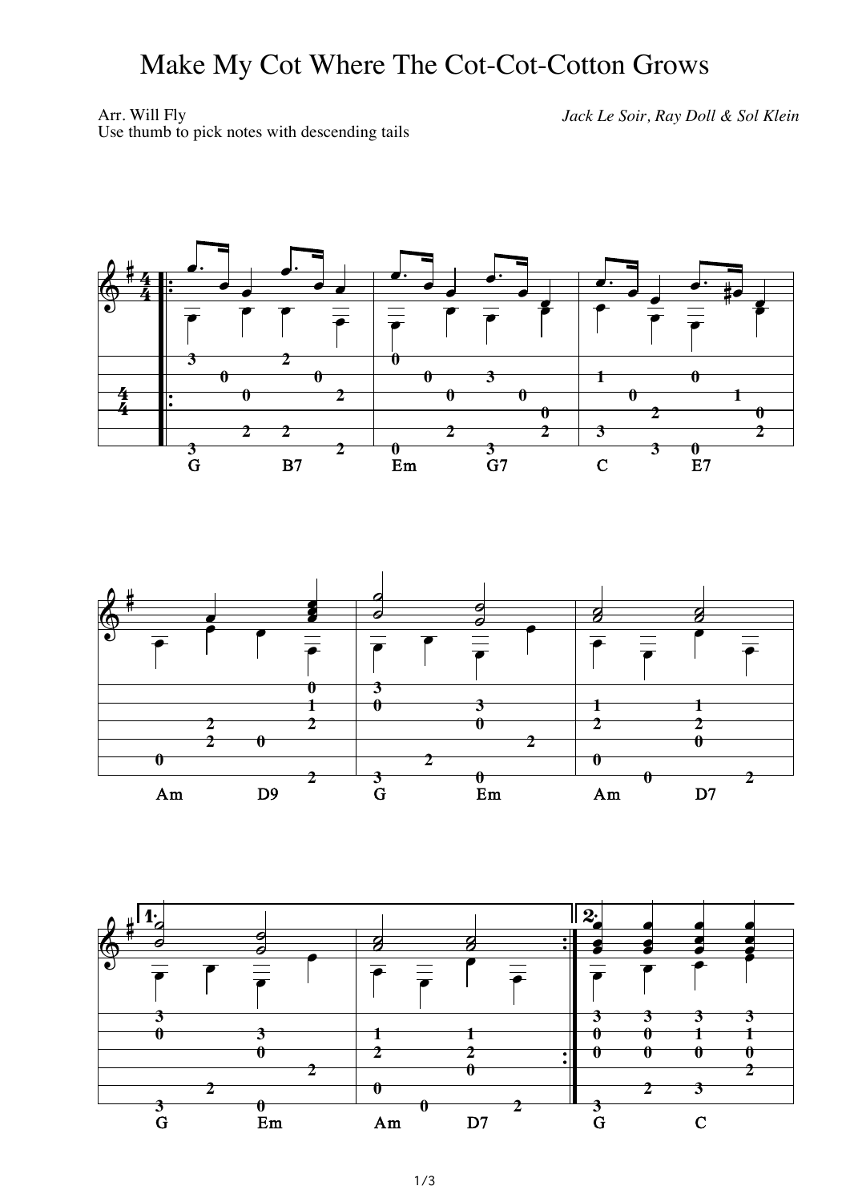## Make My Cot Where The Cot-Cot-Cotton Grows

Arr. Will Fly *Jack Le Soir, Ray Doll & Sol Klein* Use thumb to pick notes with descending tails



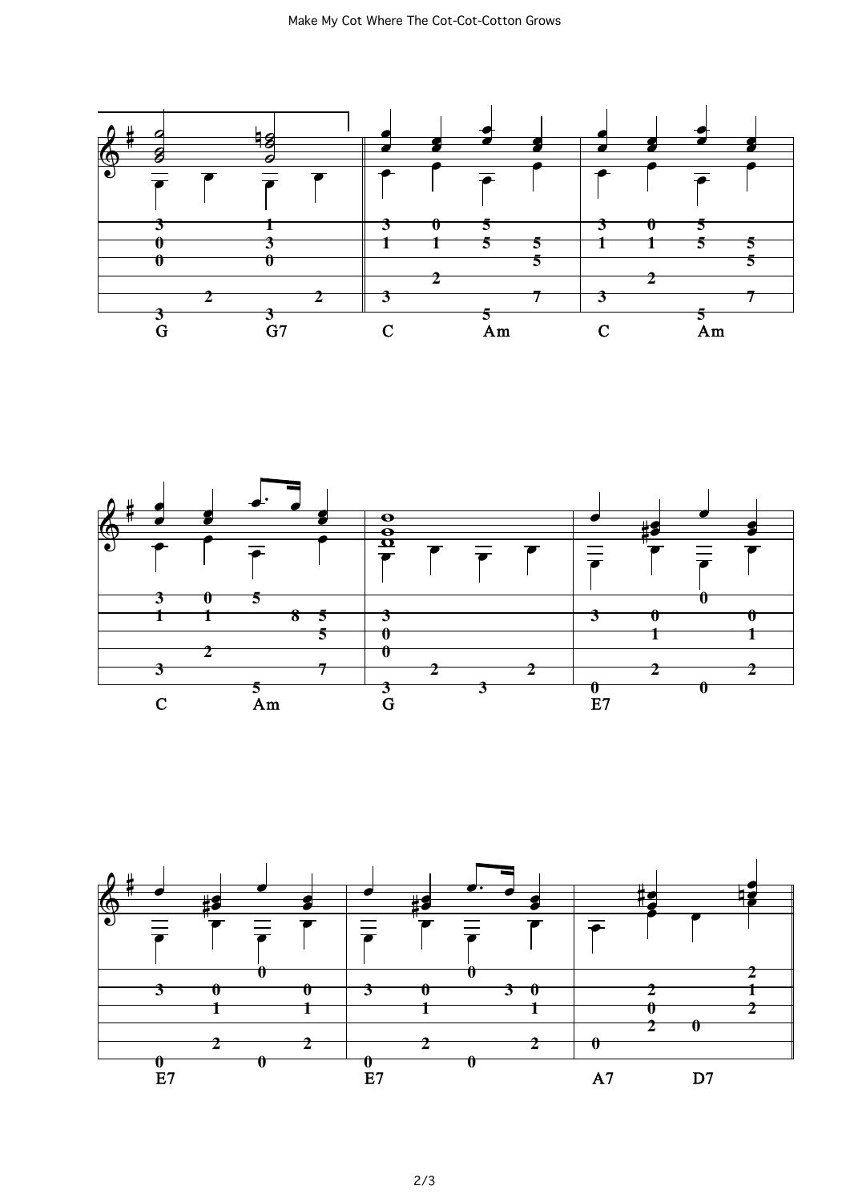